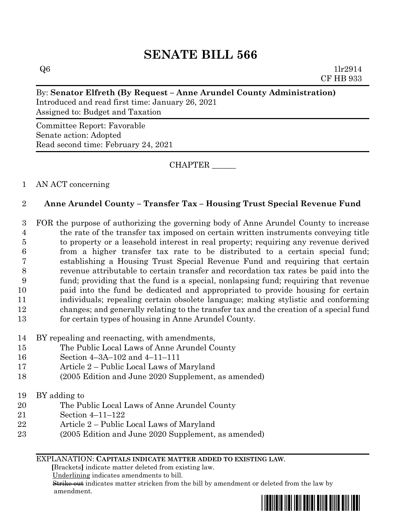# **SENATE BILL 566**

 $Q6$  1lr2914 CF HB 933

#### By: **Senator Elfreth (By Request – Anne Arundel County Administration)**

Introduced and read first time: January 26, 2021 Assigned to: Budget and Taxation

Committee Report: Favorable Senate action: Adopted Read second time: February 24, 2021

CHAPTER \_\_\_\_\_\_

#### 1 AN ACT concerning

## 2 **Anne Arundel County – Transfer Tax – Housing Trust Special Revenue Fund**

 FOR the purpose of authorizing the governing body of Anne Arundel County to increase the rate of the transfer tax imposed on certain written instruments conveying title to property or a leasehold interest in real property; requiring any revenue derived from a higher transfer tax rate to be distributed to a certain special fund; establishing a Housing Trust Special Revenue Fund and requiring that certain revenue attributable to certain transfer and recordation tax rates be paid into the fund; providing that the fund is a special, nonlapsing fund; requiring that revenue paid into the fund be dedicated and appropriated to provide housing for certain individuals; repealing certain obsolete language; making stylistic and conforming changes; and generally relating to the transfer tax and the creation of a special fund for certain types of housing in Anne Arundel County.

## 14 BY repealing and reenacting, with amendments,

- 15 The Public Local Laws of Anne Arundel County
- 16 Section 4–3A–102 and 4–11–111
- 17 Article 2 Public Local Laws of Maryland
- 18 (2005 Edition and June 2020 Supplement, as amended)
- 19 BY adding to
- 20 The Public Local Laws of Anne Arundel County
- 21 Section 4–11–122
- 22 Article 2 Public Local Laws of Maryland
- 23 (2005 Edition and June 2020 Supplement, as amended)

#### EXPLANATION: **CAPITALS INDICATE MATTER ADDED TO EXISTING LAW**.

 **[**Brackets**]** indicate matter deleted from existing law.

Underlining indicates amendments to bill.

 Strike out indicates matter stricken from the bill by amendment or deleted from the law by amendment.

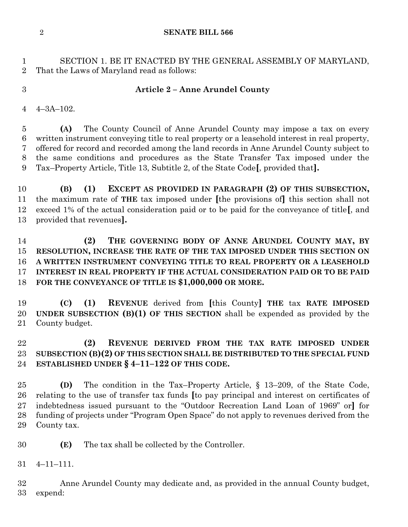**SENATE BILL 566**

 SECTION 1. BE IT ENACTED BY THE GENERAL ASSEMBLY OF MARYLAND, That the Laws of Maryland read as follows:

## **Article 2 – Anne Arundel County**

4–3A–102.

 **(A)** The County Council of Anne Arundel County may impose a tax on every written instrument conveying title to real property or a leasehold interest in real property, offered for record and recorded among the land records in Anne Arundel County subject to the same conditions and procedures as the State Transfer Tax imposed under the Tax–Property Article, Title 13, Subtitle 2, of the State Code**[**, provided that**].**

 **(B) (1) EXCEPT AS PROVIDED IN PARAGRAPH (2) OF THIS SUBSECTION,** the maximum rate of **THE** tax imposed under **[**the provisions of**]** this section shall not exceed 1% of the actual consideration paid or to be paid for the conveyance of title**[**, and provided that revenues**].**

 **(2) THE GOVERNING BODY OF ANNE ARUNDEL COUNTY MAY, BY RESOLUTION, INCREASE THE RATE OF THE TAX IMPOSED UNDER THIS SECTION ON A WRITTEN INSTRUMENT CONVEYING TITLE TO REAL PROPERTY OR A LEASEHOLD INTEREST IN REAL PROPERTY IF THE ACTUAL CONSIDERATION PAID OR TO BE PAID FOR THE CONVEYANCE OF TITLE IS \$1,000,000 OR MORE.**

 **(C) (1) REVENUE** derived from **[**this County**] THE** tax **RATE IMPOSED UNDER SUBSECTION (B)(1) OF THIS SECTION** shall be expended as provided by the County budget.

## **(2) REVENUE DERIVED FROM THE TAX RATE IMPOSED UNDER SUBSECTION (B)(2) OF THIS SECTION SHALL BE DISTRIBUTED TO THE SPECIAL FUND ESTABLISHED UNDER § 4–11–122 OF THIS CODE.**

 **(D)** The condition in the Tax–Property Article, § 13–209, of the State Code, relating to the use of transfer tax funds **[**to pay principal and interest on certificates of indebtedness issued pursuant to the "Outdoor Recreation Land Loan of 1969" or**]** for funding of projects under "Program Open Space" do not apply to revenues derived from the County tax.

**(E)** The tax shall be collected by the Controller.

4–11–111.

 Anne Arundel County may dedicate and, as provided in the annual County budget, expend: